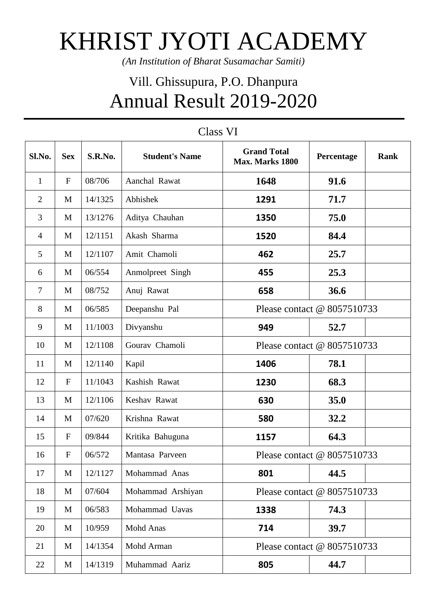## KHRIST JYOTI ACADEMY

*(An Institution of Bharat Susamachar Samiti)*

## Vill. Ghissupura, P.O. Dhanpura Annual Result 2019-2020

| Sl.No.         | <b>Sex</b>  | S.R.No. | <b>Student's Name</b> | <b>Grand Total</b><br>Max. Marks 1800 | Percentage | <b>Rank</b> |
|----------------|-------------|---------|-----------------------|---------------------------------------|------------|-------------|
| $\mathbf{1}$   | $\mathbf F$ | 08/706  | Aanchal Rawat         | 1648                                  | 91.6       |             |
| $\overline{2}$ | M           | 14/1325 | Abhishek              | 1291                                  | 71.7       |             |
| 3              | M           | 13/1276 | Aditya Chauhan        | 1350                                  | 75.0       |             |
| $\overline{4}$ | M           | 12/1151 | Akash Sharma          | 1520                                  | 84.4       |             |
| $\mathfrak{S}$ | M           | 12/1107 | Amit Chamoli          | 462                                   | 25.7       |             |
| 6              | M           | 06/554  | Anmolpreet Singh      | 455                                   | 25.3       |             |
| $\tau$         | M           | 08/752  | Anuj Rawat            | 658                                   | 36.6       |             |
| 8              | M           | 06/585  | Deepanshu Pal         | Please contact @ 8057510733           |            |             |
| 9              | M           | 11/1003 | Divyanshu             | 949                                   | 52.7       |             |
| 10             | M           | 12/1108 | Gourav Chamoli        | Please contact @ 8057510733           |            |             |
| 11             | M           | 12/1140 | Kapil                 | 1406                                  | 78.1       |             |
| 12             | $\mathbf F$ | 11/1043 | Kashish Rawat         | 1230                                  | 68.3       |             |
| 13             | M           | 12/1106 | Keshav Rawat          | 630                                   | 35.0       |             |
| 14             | M           | 07/620  | Krishna Rawat         | 580                                   | 32.2       |             |
| 15             | $\mathbf F$ | 09/844  | Kritika Bahuguna      | 1157                                  | 64.3       |             |
| 16             | $\mathbf F$ | 06/572  | Mantasa Parveen       | Please contact @ 8057510733           |            |             |
| 17             | M           | 12/1127 | Mohammad Anas         | 801                                   | 44.5       |             |
| 18             | M           | 07/604  | Mohammad Arshiyan     | Please contact @ 8057510733           |            |             |
| 19             | M           | 06/583  | Mohammad Uavas        | 1338                                  | 74.3       |             |
| 20             | M           | 10/959  | Mohd Anas             | 714                                   | 39.7       |             |
| 21             | M           | 14/1354 | Mohd Arman            | Please contact @ 8057510733           |            |             |
| 22             | M           | 14/1319 | Muhammad Aariz        | 805                                   | 44.7       |             |

## Class VI